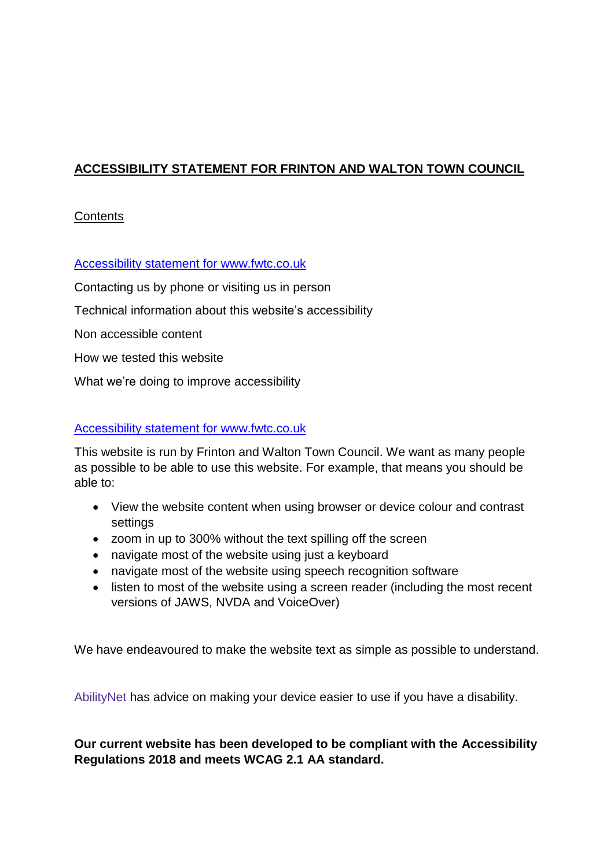# **ACCESSIBILITY STATEMENT FOR FRINTON AND WALTON TOWN COUNCIL**

# **Contents**

Accessibility statement for www.fwtc.co.uk

[Contacting](https://www.gov.uk/government/publications/sample-accessibility-statement/sample-accessibility-statement-for-a-fictional-public-sector-website#contacting-us-by-phone-or-visiting-us-in-person) us by phone or visiting us in person Technical information about this website's [accessibility](https://www.gov.uk/government/publications/sample-accessibility-statement/sample-accessibility-statement-for-a-fictional-public-sector-website#technical-information-about-this-websites-accessibility) Non [accessible](https://www.gov.uk/government/publications/sample-accessibility-statement/sample-accessibility-statement-for-a-fictional-public-sector-website#non-accessible-content) content How we tested this [website](https://www.gov.uk/government/publications/sample-accessibility-statement/sample-accessibility-statement-for-a-fictional-public-sector-website#how-we-tested-this-website)

What we're doing to improve [accessibility](https://www.gov.uk/government/publications/sample-accessibility-statement/sample-accessibility-statement-for-a-fictional-public-sector-website#what-were-doing-to-improve-accessibility)

# Accessibility statement for www.fwtc.co.uk

This website is run by Frinton and Walton Town Council. We want as many people as possible to be able to use this website. For example, that means you should be able to:

- View the website content when using browser or device colour and contrast settings
- zoom in up to 300% without the text spilling off the screen
- navigate most of the website using just a keyboard
- navigate most of the website using speech recognition software
- listen to most of the website using a screen reader (including the most recent versions of JAWS, NVDA and VoiceOver)

We have endeavoured to make the website text as simple as possible to understand.

[AbilityNet](https://mcmw.abilitynet.org.uk/) has advice on making your device easier to use if you have a disability.

**Our current website has been developed to be compliant with the Accessibility Regulations 2018 and meets WCAG 2.1 AA standard.**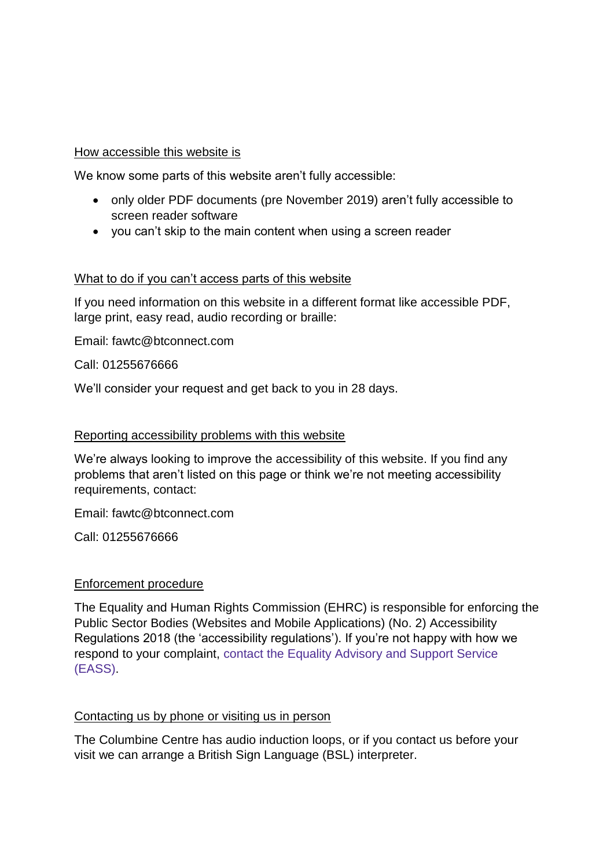### How accessible this website is

We know some parts of this website aren't fully accessible:

- only older PDF documents (pre November 2019) aren't fully accessible to screen reader software
- vou can't skip to the main content when using a screen reader

### What to do if you can't access parts of this website

If you need information on this website in a different format like accessible PDF, large print, easy read, audio recording or braille:

Email: fawtc@btconnect.com

### Call: 01255676666

We'll consider your request and get back to you in 28 days.

### Reporting accessibility problems with this website

We're always looking to improve the accessibility of this website. If you find any problems that aren't listed on this page or think we're not meeting accessibility requirements, contact:

Email: fawtc@btconnect.com

Call: 01255676666

#### Enforcement procedure

The Equality and Human Rights Commission (EHRC) is responsible for enforcing the Public Sector Bodies (Websites and Mobile Applications) (No. 2) Accessibility Regulations 2018 (the 'accessibility regulations'). If you're not happy with how we respond to your complaint, contact the Equality [Advisory](https://www.equalityadvisoryservice.com/) and Support Service [\(EASS\).](https://www.equalityadvisoryservice.com/)

#### Contacting us by phone or visiting us in person

The Columbine Centre has audio induction loops, or if you contact us before your visit we can arrange a British Sign Language (BSL) interpreter.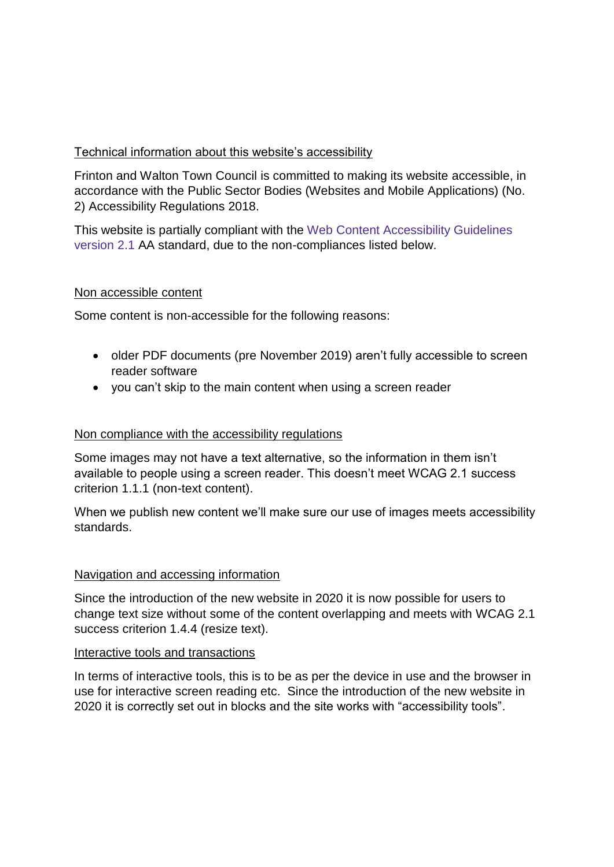# Technical information about this website's accessibility

Frinton and Walton Town Council is committed to making its website accessible, in accordance with the Public Sector Bodies (Websites and Mobile Applications) (No. 2) Accessibility Regulations 2018.

This website is partially compliant with the Web Content [Accessibility](https://www.w3.org/TR/WCAG21/) Guidelines [version](https://www.w3.org/TR/WCAG21/) 2.1 AA standard, due to the non-compliances listed below.

# Non accessible content

Some content is non-accessible for the following reasons:

- older PDF documents (pre November 2019) aren't fully accessible to screen reader software
- you can't skip to the main content when using a screen reader

### Non compliance with the accessibility regulations

Some images may not have a text alternative, so the information in them isn't available to people using a screen reader. This doesn't meet WCAG 2.1 success criterion 1.1.1 (non-text content).

When we publish new content we'll make sure our use of images meets accessibility standards.

### Navigation and accessing information

Since the introduction of the new website in 2020 it is now possible for users to change text size without some of the content overlapping and meets with WCAG 2.1 success criterion 1.4.4 (resize text).

### Interactive tools and transactions

In terms of interactive tools, this is to be as per the device in use and the browser in use for interactive screen reading etc. Since the introduction of the new website in 2020 it is correctly set out in blocks and the site works with "accessibility tools".